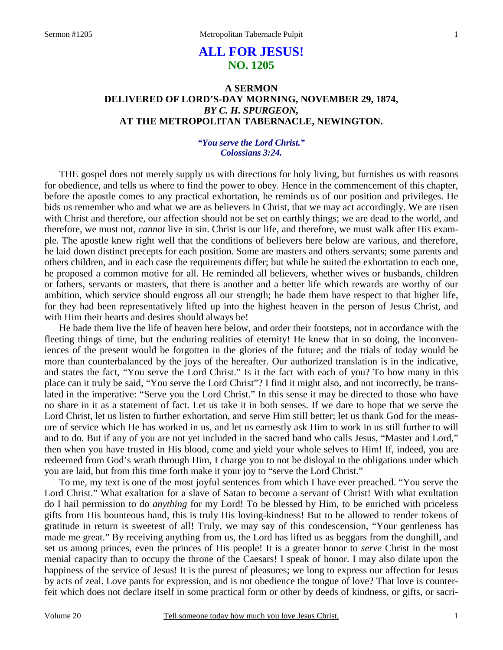# **ALL FOR JESUS! NO. 1205**

# **A SERMON DELIVERED OF LORD'S-DAY MORNING, NOVEMBER 29, 1874,** *BY C. H. SPURGEON,*  **AT THE METROPOLITAN TABERNACLE, NEWINGTON.**

### *"You serve the Lord Christ." Colossians 3:24.*

THE gospel does not merely supply us with directions for holy living, but furnishes us with reasons for obedience, and tells us where to find the power to obey. Hence in the commencement of this chapter, before the apostle comes to any practical exhortation, he reminds us of our position and privileges. He bids us remember who and what we are as believers in Christ, that we may act accordingly. We are risen with Christ and therefore, our affection should not be set on earthly things; we are dead to the world, and therefore, we must not, *cannot* live in sin. Christ is our life, and therefore, we must walk after His example. The apostle knew right well that the conditions of believers here below are various, and therefore, he laid down distinct precepts for each position. Some are masters and others servants; some parents and others children, and in each case the requirements differ; but while he suited the exhortation to each one, he proposed a common motive for all. He reminded all believers, whether wives or husbands, children or fathers, servants or masters, that there is another and a better life which rewards are worthy of our ambition, which service should engross all our strength; he bade them have respect to that higher life, for they had been representatively lifted up into the highest heaven in the person of Jesus Christ, and with Him their hearts and desires should always be!

He bade them live the life of heaven here below, and order their footsteps, not in accordance with the fleeting things of time, but the enduring realities of eternity! He knew that in so doing, the inconveniences of the present would be forgotten in the glories of the future; and the trials of today would be more than counterbalanced by the joys of the hereafter. Our authorized translation is in the indicative, and states the fact, "You serve the Lord Christ." Is it the fact with each of you? To how many in this place can it truly be said, "You serve the Lord Christ"? I find it might also, and not incorrectly, be translated in the imperative: "Serve you the Lord Christ." In this sense it may be directed to those who have no share in it as a statement of fact. Let us take it in both senses. If we dare to hope that we serve the Lord Christ, let us listen to further exhortation, and serve Him still better; let us thank God for the measure of service which He has worked in us, and let us earnestly ask Him to work in us still further to will and to do. But if any of you are not yet included in the sacred band who calls Jesus, "Master and Lord," then when you have trusted in His blood, come and yield your whole selves to Him! If, indeed, you are redeemed from God's wrath through Him, I charge you to not be disloyal to the obligations under which you are laid, but from this time forth make it your joy to "serve the Lord Christ."

To me, my text is one of the most joyful sentences from which I have ever preached. "You serve the Lord Christ." What exaltation for a slave of Satan to become a servant of Christ! With what exultation do I hail permission to do *anything* for my Lord! To be blessed by Him, to be enriched with priceless gifts from His bounteous hand, this is truly His loving-kindness! But to be allowed to render tokens of gratitude in return is sweetest of all! Truly, we may say of this condescension, "Your gentleness has made me great." By receiving anything from us, the Lord has lifted us as beggars from the dunghill, and set us among princes, even the princes of His people! It is a greater honor to *serve* Christ in the most menial capacity than to occupy the throne of the Caesars! I speak of honor. I may also dilate upon the happiness of the service of Jesus! It is the purest of pleasures; we long to express our affection for Jesus by acts of zeal. Love pants for expression, and is not obedience the tongue of love? That love is counterfeit which does not declare itself in some practical form or other by deeds of kindness, or gifts, or sacri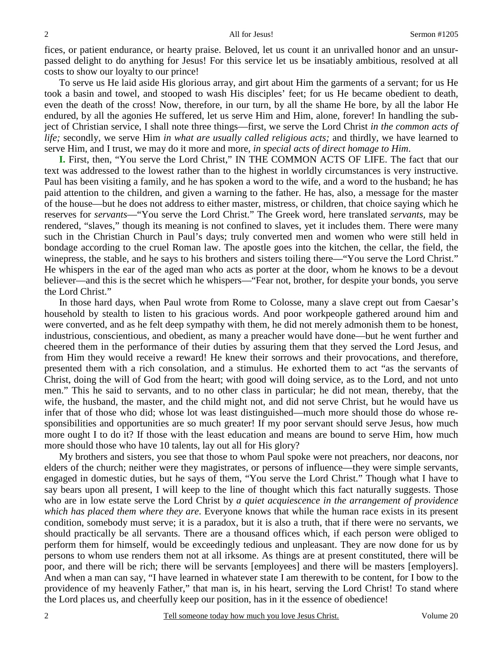fices, or patient endurance, or hearty praise. Beloved, let us count it an unrivalled honor and an unsurpassed delight to do anything for Jesus! For this service let us be insatiably ambitious, resolved at all costs to show our loyalty to our prince!

To serve us He laid aside His glorious array, and girt about Him the garments of a servant; for us He took a basin and towel, and stooped to wash His disciples' feet; for us He became obedient to death, even the death of the cross! Now, therefore, in our turn, by all the shame He bore, by all the labor He endured, by all the agonies He suffered, let us serve Him and Him, alone, forever! In handling the subject of Christian service, I shall note three things—first, we serve the Lord Christ *in the common acts of life;* secondly, we serve Him *in what are usually called religious acts;* and thirdly, we have learned to serve Him, and I trust, we may do it more and more, *in special acts of direct homage to Him*.

**I.** First, then, "You serve the Lord Christ," IN THE COMMON ACTS OF LIFE. The fact that our text was addressed to the lowest rather than to the highest in worldly circumstances is very instructive. Paul has been visiting a family, and he has spoken a word to the wife, and a word to the husband; he has paid attention to the children, and given a warning to the father. He has, also, a message for the master of the house—but he does not address to either master, mistress, or children, that choice saying which he reserves for *servants*—"You serve the Lord Christ." The Greek word, here translated *servants,* may be rendered, "slaves," though its meaning is not confined to slaves, yet it includes them. There were many such in the Christian Church in Paul's days; truly converted men and women who were still held in bondage according to the cruel Roman law. The apostle goes into the kitchen, the cellar, the field, the winepress, the stable, and he says to his brothers and sisters toiling there—"You serve the Lord Christ." He whispers in the ear of the aged man who acts as porter at the door, whom he knows to be a devout believer—and this is the secret which he whispers—"Fear not, brother, for despite your bonds, you serve the Lord Christ."

In those hard days, when Paul wrote from Rome to Colosse, many a slave crept out from Caesar's household by stealth to listen to his gracious words. And poor workpeople gathered around him and were converted, and as he felt deep sympathy with them, he did not merely admonish them to be honest, industrious, conscientious, and obedient, as many a preacher would have done—but he went further and cheered them in the performance of their duties by assuring them that they served the Lord Jesus, and from Him they would receive a reward! He knew their sorrows and their provocations, and therefore, presented them with a rich consolation, and a stimulus. He exhorted them to act "as the servants of Christ, doing the will of God from the heart; with good will doing service, as to the Lord, and not unto men." This he said to servants, and to no other class in particular; he did not mean, thereby, that the wife, the husband, the master, and the child might not, and did not serve Christ, but he would have us infer that of those who did; whose lot was least distinguished—much more should those do whose responsibilities and opportunities are so much greater! If my poor servant should serve Jesus, how much more ought I to do it? If those with the least education and means are bound to serve Him, how much more should those who have 10 talents, lay out all for His glory?

My brothers and sisters, you see that those to whom Paul spoke were not preachers, nor deacons, nor elders of the church; neither were they magistrates, or persons of influence—they were simple servants, engaged in domestic duties, but he says of them, "You serve the Lord Christ." Though what I have to say bears upon all present, I will keep to the line of thought which this fact naturally suggests. Those who are in low estate serve the Lord Christ by *a quiet acquiescence in the arrangement of providence which has placed them where they are*. Everyone knows that while the human race exists in its present condition, somebody must serve; it is a paradox, but it is also a truth, that if there were no servants, we should practically be all servants. There are a thousand offices which, if each person were obliged to perform them for himself, would be exceedingly tedious and unpleasant. They are now done for us by persons to whom use renders them not at all irksome. As things are at present constituted, there will be poor, and there will be rich; there will be servants [employees] and there will be masters [employers]. And when a man can say, "I have learned in whatever state I am therewith to be content, for I bow to the providence of my heavenly Father," that man is, in his heart, serving the Lord Christ! To stand where the Lord places us, and cheerfully keep our position, has in it the essence of obedience!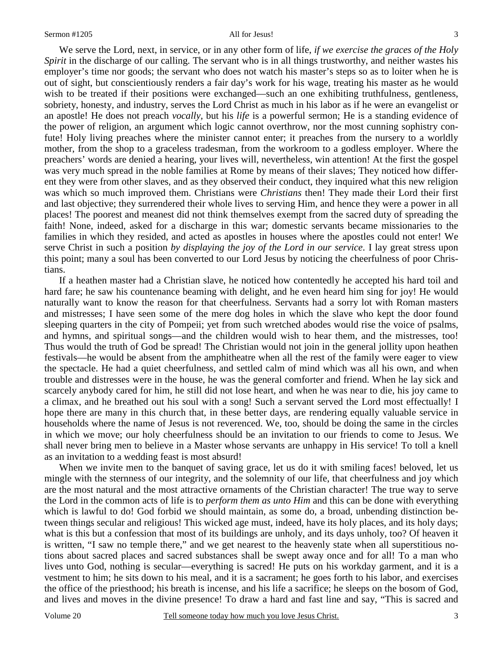We serve the Lord, next, in service, or in any other form of life, *if we exercise the graces of the Holy Spirit* in the discharge of our calling. The servant who is in all things trustworthy, and neither wastes his employer's time nor goods; the servant who does not watch his master's steps so as to loiter when he is out of sight, but conscientiously renders a fair day's work for his wage, treating his master as he would wish to be treated if their positions were exchanged—such an one exhibiting truthfulness, gentleness, sobriety, honesty, and industry, serves the Lord Christ as much in his labor as if he were an evangelist or an apostle! He does not preach *vocally,* but his *life* is a powerful sermon; He is a standing evidence of the power of religion, an argument which logic cannot overthrow, nor the most cunning sophistry confute! Holy living preaches where the minister cannot enter; it preaches from the nursery to a worldly mother, from the shop to a graceless tradesman, from the workroom to a godless employer. Where the preachers' words are denied a hearing, your lives will, nevertheless, win attention! At the first the gospel was very much spread in the noble families at Rome by means of their slaves; They noticed how different they were from other slaves, and as they observed their conduct, they inquired what this new religion was which so much improved them. Christians were *Christians* then! They made their Lord their first and last objective; they surrendered their whole lives to serving Him, and hence they were a power in all places! The poorest and meanest did not think themselves exempt from the sacred duty of spreading the faith! None, indeed, asked for a discharge in this war; domestic servants became missionaries to the families in which they resided, and acted as apostles in houses where the apostles could not enter! We serve Christ in such a position *by displaying the joy of the Lord in our service*. I lay great stress upon this point; many a soul has been converted to our Lord Jesus by noticing the cheerfulness of poor Christians.

If a heathen master had a Christian slave, he noticed how contentedly he accepted his hard toil and hard fare; he saw his countenance beaming with delight, and he even heard him sing for joy! He would naturally want to know the reason for that cheerfulness. Servants had a sorry lot with Roman masters and mistresses; I have seen some of the mere dog holes in which the slave who kept the door found sleeping quarters in the city of Pompeii; yet from such wretched abodes would rise the voice of psalms, and hymns, and spiritual songs—and the children would wish to hear them, and the mistresses, too! Thus would the truth of God be spread! The Christian would not join in the general jollity upon heathen festivals—he would be absent from the amphitheatre when all the rest of the family were eager to view the spectacle. He had a quiet cheerfulness, and settled calm of mind which was all his own, and when trouble and distresses were in the house, he was the general comforter and friend. When he lay sick and scarcely anybody cared for him, he still did not lose heart, and when he was near to die, his joy came to a climax, and he breathed out his soul with a song! Such a servant served the Lord most effectually! I hope there are many in this church that, in these better days, are rendering equally valuable service in households where the name of Jesus is not reverenced. We, too, should be doing the same in the circles in which we move; our holy cheerfulness should be an invitation to our friends to come to Jesus. We shall never bring men to believe in a Master whose servants are unhappy in His service! To toll a knell as an invitation to a wedding feast is most absurd!

When we invite men to the banquet of saving grace, let us do it with smiling faces! beloved, let us mingle with the sternness of our integrity, and the solemnity of our life, that cheerfulness and joy which are the most natural and the most attractive ornaments of the Christian character! The true way to serve the Lord in the common acts of life is to *perform them as unto Him* and this can be done with everything which is lawful to do! God forbid we should maintain, as some do, a broad, unbending distinction between things secular and religious! This wicked age must, indeed, have its holy places, and its holy days; what is this but a confession that most of its buildings are unholy, and its days unholy, too? Of heaven it is written, "I saw no temple there," and we get nearest to the heavenly state when all superstitious notions about sacred places and sacred substances shall be swept away once and for all! To a man who lives unto God, nothing is secular—everything is sacred! He puts on his workday garment, and it is a vestment to him; he sits down to his meal, and it is a sacrament; he goes forth to his labor, and exercises the office of the priesthood; his breath is incense, and his life a sacrifice; he sleeps on the bosom of God, and lives and moves in the divine presence! To draw a hard and fast line and say, "This is sacred and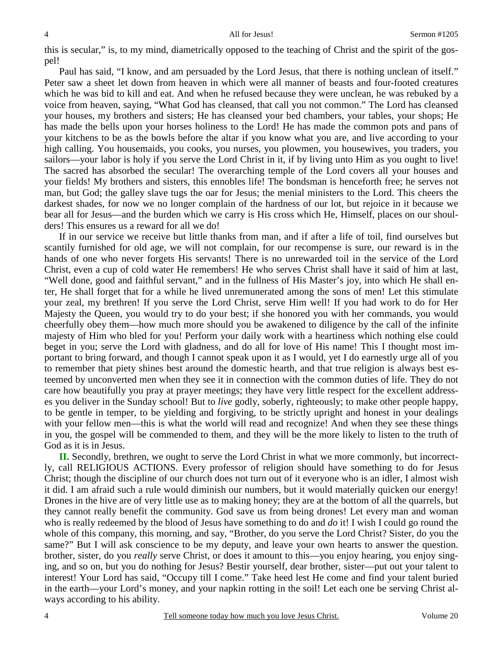this is secular," is, to my mind, diametrically opposed to the teaching of Christ and the spirit of the gospel!

Paul has said, "I know, and am persuaded by the Lord Jesus, that there is nothing unclean of itself." Peter saw a sheet let down from heaven in which were all manner of beasts and four-footed creatures which he was bid to kill and eat. And when he refused because they were unclean, he was rebuked by a voice from heaven, saying, "What God has cleansed, that call you not common." The Lord has cleansed your houses, my brothers and sisters; He has cleansed your bed chambers, your tables, your shops; He has made the bells upon your horses holiness to the Lord! He has made the common pots and pans of your kitchens to be as the bowls before the altar if you know what you are, and live according to your high calling. You housemaids, you cooks, you nurses, you plowmen, you housewives, you traders, you sailors—your labor is holy if you serve the Lord Christ in it, if by living unto Him as you ought to live! The sacred has absorbed the secular! The overarching temple of the Lord covers all your houses and your fields! My brothers and sisters, this ennobles life! The bondsman is henceforth free; he serves not man, but God; the galley slave tugs the oar for Jesus; the menial ministers to the Lord. This cheers the darkest shades, for now we no longer complain of the hardness of our lot, but rejoice in it because we bear all for Jesus—and the burden which we carry is His cross which He, Himself, places on our shoulders! This ensures us a reward for all we do!

If in our service we receive but little thanks from man, and if after a life of toil, find ourselves but scantily furnished for old age, we will not complain, for our recompense is sure, our reward is in the hands of one who never forgets His servants! There is no unrewarded toil in the service of the Lord Christ, even a cup of cold water He remembers! He who serves Christ shall have it said of him at last, "Well done, good and faithful servant," and in the fullness of His Master's joy, into which He shall enter, He shall forget that for a while he lived unremunerated among the sons of men! Let this stimulate your zeal, my brethren! If you serve the Lord Christ, serve Him well! If you had work to do for Her Majesty the Queen, you would try to do your best; if she honored you with her commands, you would cheerfully obey them—how much more should you be awakened to diligence by the call of the infinite majesty of Him who bled for you! Perform your daily work with a heartiness which nothing else could beget in you; serve the Lord with gladness, and do all for love of His name! This I thought most important to bring forward, and though I cannot speak upon it as I would, yet I do earnestly urge all of you to remember that piety shines best around the domestic hearth, and that true religion is always best esteemed by unconverted men when they see it in connection with the common duties of life. They do not care how beautifully you pray at prayer meetings; they have very little respect for the excellent addresses you deliver in the Sunday school! But to *live* godly, soberly, righteously; to make other people happy, to be gentle in temper, to be yielding and forgiving, to be strictly upright and honest in your dealings with your fellow men—this is what the world will read and recognize! And when they see these things in you, the gospel will be commended to them, and they will be the more likely to listen to the truth of God as it is in Jesus.

**II.** Secondly, brethren, we ought to serve the Lord Christ in what we more commonly, but incorrectly, call RELIGIOUS ACTIONS. Every professor of religion should have something to do for Jesus Christ; though the discipline of our church does not turn out of it everyone who is an idler, I almost wish it did. I am afraid such a rule would diminish our numbers, but it would materially quicken our energy! Drones in the hive are of very little use as to making honey; they are at the bottom of all the quarrels, but they cannot really benefit the community. God save us from being drones! Let every man and woman who is really redeemed by the blood of Jesus have something to do and *do* it! I wish I could go round the whole of this company, this morning, and say, "Brother, do you serve the Lord Christ? Sister, do you the same?" But I will ask conscience to be my deputy, and leave your own hearts to answer the question. brother, sister, do you *really* serve Christ, or does it amount to this—you enjoy hearing, you enjoy singing, and so on, but you do nothing for Jesus? Bestir yourself, dear brother, sister—put out your talent to interest! Your Lord has said, "Occupy till I come." Take heed lest He come and find your talent buried in the earth—your Lord's money, and your napkin rotting in the soil! Let each one be serving Christ always according to his ability.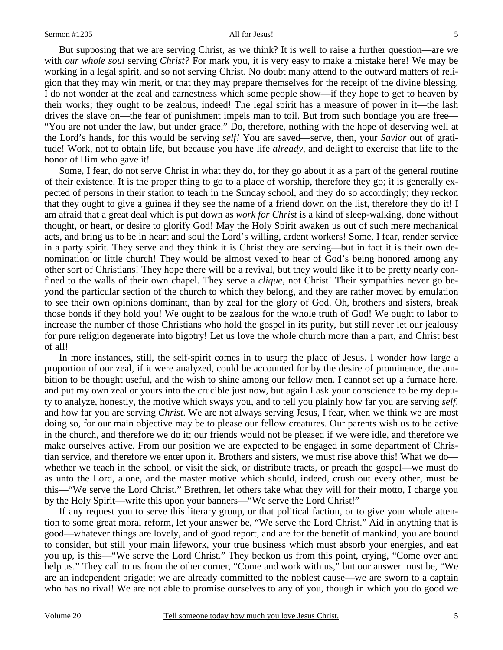But supposing that we are serving Christ, as we think? It is well to raise a further question—are we with *our whole soul* serving *Christ?* For mark you, it is very easy to make a mistake here! We may be working in a legal spirit, and so not serving Christ. No doubt many attend to the outward matters of religion that they may win merit, or that they may prepare themselves for the receipt of the divine blessing. I do not wonder at the zeal and earnestness which some people show—if they hope to get to heaven by their works; they ought to be zealous, indeed! The legal spirit has a measure of power in it—the lash drives the slave on—the fear of punishment impels man to toil. But from such bondage you are free— "You are not under the law, but under grace." Do, therefore, nothing with the hope of deserving well at the Lord's hands, for this would be serving *self!* You are saved—serve, then, your *Savior* out of gratitude! Work, not to obtain life, but because you have life *already*, and delight to exercise that life to the honor of Him who gave it!

Some, I fear, do not serve Christ in what they do, for they go about it as a part of the general routine of their existence. It is the proper thing to go to a place of worship, therefore they go; it is generally expected of persons in their station to teach in the Sunday school, and they do so accordingly; they reckon that they ought to give a guinea if they see the name of a friend down on the list, therefore they do it! I am afraid that a great deal which is put down as *work for Christ* is a kind of sleep-walking, done without thought, or heart, or desire to glorify God! May the Holy Spirit awaken us out of such mere mechanical acts, and bring us to be in heart and soul the Lord's willing, ardent workers! Some, I fear, render service in a party spirit. They serve and they think it is Christ they are serving—but in fact it is their own denomination or little church! They would be almost vexed to hear of God's being honored among any other sort of Christians! They hope there will be a revival, but they would like it to be pretty nearly confined to the walls of their own chapel. They serve a *clique,* not Christ! Their sympathies never go beyond the particular section of the church to which they belong, and they are rather moved by emulation to see their own opinions dominant, than by zeal for the glory of God. Oh, brothers and sisters, break those bonds if they hold you! We ought to be zealous for the whole truth of God! We ought to labor to increase the number of those Christians who hold the gospel in its purity, but still never let our jealousy for pure religion degenerate into bigotry! Let us love the whole church more than a part, and Christ best of all!

In more instances, still, the self-spirit comes in to usurp the place of Jesus. I wonder how large a proportion of our zeal, if it were analyzed, could be accounted for by the desire of prominence, the ambition to be thought useful, and the wish to shine among our fellow men. I cannot set up a furnace here, and put my own zeal or yours into the crucible just now, but again I ask your conscience to be my deputy to analyze, honestly, the motive which sways you, and to tell you plainly how far you are serving *self,* and how far you are serving *Christ*. We are not always serving Jesus, I fear, when we think we are most doing so, for our main objective may be to please our fellow creatures. Our parents wish us to be active in the church, and therefore we do it; our friends would not be pleased if we were idle, and therefore we make ourselves active. From our position we are expected to be engaged in some department of Christian service, and therefore we enter upon it. Brothers and sisters, we must rise above this! What we do whether we teach in the school, or visit the sick, or distribute tracts, or preach the gospel—we must do as unto the Lord, alone, and the master motive which should, indeed, crush out every other, must be this—"We serve the Lord Christ." Brethren, let others take what they will for their motto, I charge you by the Holy Spirit—write this upon your banners—"We serve the Lord Christ!"

If any request you to serve this literary group, or that political faction, or to give your whole attention to some great moral reform, let your answer be, "We serve the Lord Christ." Aid in anything that is good—whatever things are lovely, and of good report, and are for the benefit of mankind, you are bound to consider, but still your main lifework, your true business which must absorb your energies, and eat you up, is this—"We serve the Lord Christ." They beckon us from this point, crying, "Come over and help us." They call to us from the other corner, "Come and work with us," but our answer must be, "We are an independent brigade; we are already committed to the noblest cause—we are sworn to a captain who has no rival! We are not able to promise ourselves to any of you, though in which you do good we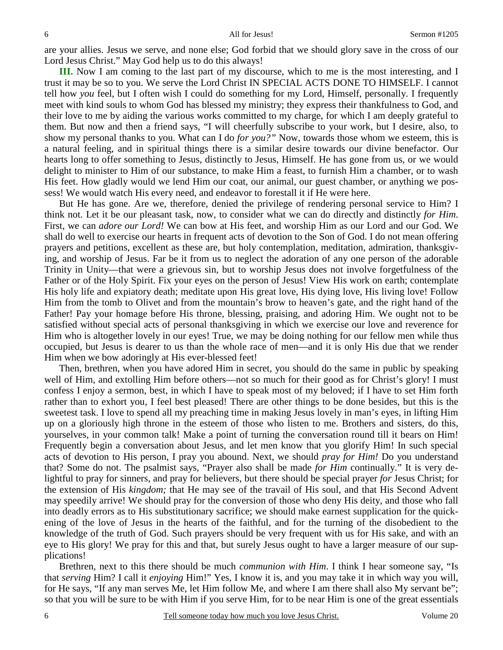are your allies. Jesus we serve, and none else; God forbid that we should glory save in the cross of our Lord Jesus Christ." May God help us to do this always!

**III.** Now I am coming to the last part of my discourse, which to me is the most interesting, and I trust it may be so to you. We serve the Lord Christ IN SPECIAL ACTS DONE TO HIMSELF. I cannot tell how *you* feel, but I often wish I could do something for my Lord, Himself, personally. I frequently meet with kind souls to whom God has blessed my ministry; they express their thankfulness to God, and their love to me by aiding the various works committed to my charge, for which I am deeply grateful to them. But now and then a friend says, "I will cheerfully subscribe to your work, but I desire, also, to show my personal thanks to you. What can I do *for you?"* Now, towards those whom we esteem, this is a natural feeling, and in spiritual things there is a similar desire towards our divine benefactor. Our hearts long to offer something to Jesus, distinctly to Jesus, Himself. He has gone from us, or we would delight to minister to Him of our substance, to make Him a feast, to furnish Him a chamber, or to wash His feet. How gladly would we lend Him our coat, our animal, our guest chamber, or anything we possess! We would watch His every need, and endeavor to forestall it if He were here.

But He has gone. Are we, therefore, denied the privilege of rendering personal service to Him? I think not. Let it be our pleasant task, now, to consider what we can do directly and distinctly *for Him*. First, we can *adore our Lord!* We can bow at His feet, and worship Him as our Lord and our God. We shall do well to exercise our hearts in frequent acts of devotion to the Son of God. I do not mean offering prayers and petitions, excellent as these are, but holy contemplation, meditation, admiration, thanksgiving, and worship of Jesus. Far be it from us to neglect the adoration of any one person of the adorable Trinity in Unity—that were a grievous sin, but to worship Jesus does not involve forgetfulness of the Father or of the Holy Spirit. Fix your eyes on the person of Jesus! View His work on earth; contemplate His holy life and expiatory death; meditate upon His great love, His dying love, His living love! Follow Him from the tomb to Olivet and from the mountain's brow to heaven's gate, and the right hand of the Father! Pay your homage before His throne, blessing, praising, and adoring Him. We ought not to be satisfied without special acts of personal thanksgiving in which we exercise our love and reverence for Him who is altogether lovely in our eyes! True, we may be doing nothing for our fellow men while thus occupied, but Jesus is dearer to us than the whole race of men—and it is only His due that we render Him when we bow adoringly at His ever-blessed feet!

Then, brethren, when you have adored Him in secret, you should do the same in public by speaking well of Him, and extolling Him before others—not so much for their good as for Christ's glory! I must confess I enjoy a sermon, best, in which I have to speak most of my beloved; if I have to set Him forth rather than to exhort you, I feel best pleased! There are other things to be done besides, but this is the sweetest task. I love to spend all my preaching time in making Jesus lovely in man's eyes, in lifting Him up on a gloriously high throne in the esteem of those who listen to me. Brothers and sisters, do this, yourselves, in your common talk! Make a point of turning the conversation round till it bears on Him! Frequently begin a conversation about Jesus, and let men know that you glorify Him! In such special acts of devotion to His person, I pray you abound. Next, we should *pray for Him!* Do you understand that? Some do not. The psalmist says, "Prayer also shall be made *for Him* continually." It is very delightful to pray for sinners, and pray for believers, but there should be special prayer *for* Jesus Christ; for the extension of His *kingdom;* that He may see of the travail of His soul, and that His Second Advent may speedily arrive! We should pray for the conversion of those who deny His deity, and those who fall into deadly errors as to His substitutionary sacrifice; we should make earnest supplication for the quickening of the love of Jesus in the hearts of the faithful, and for the turning of the disobedient to the knowledge of the truth of God. Such prayers should be very frequent with us for His sake, and with an eye to His glory! We pray for this and that, but surely Jesus ought to have a larger measure of our supplications!

Brethren, next to this there should be much *communion with Him*. I think I hear someone say, "Is that *serving* Him? I call it *enjoying* Him!" Yes, I know it is, and you may take it in which way you will, for He says, "If any man serves Me, let Him follow Me, and where I am there shall also My servant be"; so that you will be sure to be with Him if you serve Him, for to be near Him is one of the great essentials

6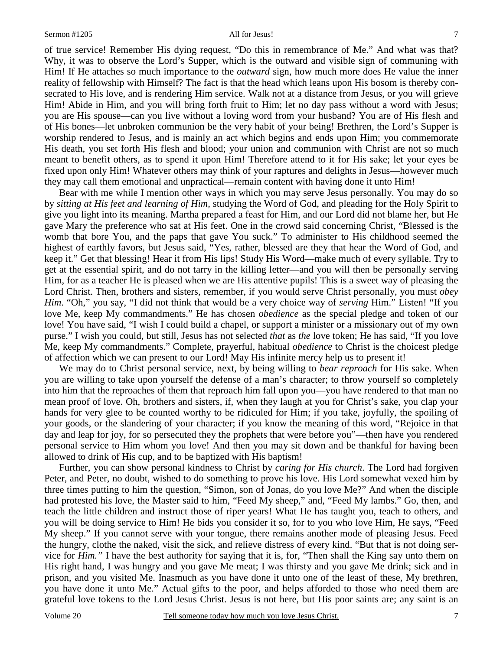of true service! Remember His dying request, "Do this in remembrance of Me." And what was that? Why, it was to observe the Lord's Supper, which is the outward and visible sign of communing with Him! If He attaches so much importance to the *outward* sign, how much more does He value the inner reality of fellowship with Himself? The fact is that the head which leans upon His bosom is thereby consecrated to His love, and is rendering Him service. Walk not at a distance from Jesus, or you will grieve

Him! Abide in Him, and you will bring forth fruit to Him; let no day pass without a word with Jesus; you are His spouse—can you live without a loving word from your husband? You are of His flesh and of His bones—let unbroken communion be the very habit of your being! Brethren, the Lord's Supper is worship rendered to Jesus, and is mainly an act which begins and ends upon Him; you commemorate His death, you set forth His flesh and blood; your union and communion with Christ are not so much meant to benefit others, as to spend it upon Him! Therefore attend to it for His sake; let your eyes be fixed upon only Him! Whatever others may think of your raptures and delights in Jesus—however much they may call them emotional and unpractical—remain content with having done it unto Him!

Bear with me while I mention other ways in which you may serve Jesus personally. You may do so by *sitting at His feet and learning of Him,* studying the Word of God, and pleading for the Holy Spirit to give you light into its meaning. Martha prepared a feast for Him, and our Lord did not blame her, but He gave Mary the preference who sat at His feet. One in the crowd said concerning Christ, "Blessed is the womb that bore You, and the paps that gave You suck." To administer to His childhood seemed the highest of earthly favors, but Jesus said, "Yes, rather, blessed are they that hear the Word of God, and keep it." Get that blessing! Hear it from His lips! Study His Word—make much of every syllable. Try to get at the essential spirit, and do not tarry in the killing letter—and you will then be personally serving Him, for as a teacher He is pleased when we are His attentive pupils! This is a sweet way of pleasing the Lord Christ. Then, brothers and sisters, remember, if you would serve Christ personally, you must *obey Him*. "Oh," you say, "I did not think that would be a very choice way of *serving* Him." Listen! "If you love Me, keep My commandments." He has chosen *obedience* as the special pledge and token of our love! You have said, "I wish I could build a chapel, or support a minister or a missionary out of my own purse." I wish you could, but still, Jesus has not selected *that* as *the* love token; He has said, "If you love Me, keep My commandments." Complete, prayerful, habitual *obedience* to Christ is the choicest pledge of affection which we can present to our Lord! May His infinite mercy help us to present it!

We may do to Christ personal service, next, by being willing to *bear reproach* for His sake. When you are willing to take upon yourself the defense of a man's character; to throw yourself so completely into him that the reproaches of them that reproach him fall upon you—you have rendered to that man no mean proof of love. Oh, brothers and sisters, if, when they laugh at you for Christ's sake, you clap your hands for very glee to be counted worthy to be ridiculed for Him; if you take, joyfully, the spoiling of your goods, or the slandering of your character; if you know the meaning of this word, "Rejoice in that day and leap for joy, for so persecuted they the prophets that were before you"—then have you rendered personal service to Him whom you love! And then you may sit down and be thankful for having been allowed to drink of His cup, and to be baptized with His baptism!

Further, you can show personal kindness to Christ by *caring for His church*. The Lord had forgiven Peter, and Peter, no doubt, wished to do something to prove his love. His Lord somewhat vexed him by three times putting to him the question, "Simon, son of Jonas, do you love Me?" And when the disciple had protested his love, the Master said to him, "Feed My sheep," and, "Feed My lambs." Go, then, and teach the little children and instruct those of riper years! What He has taught you, teach to others, and you will be doing service to Him! He bids you consider it so, for to you who love Him, He says, "Feed My sheep." If you cannot serve with your tongue, there remains another mode of pleasing Jesus. Feed the hungry, clothe the naked, visit the sick, and relieve distress of every kind. "But that is not doing service for *Him."* I have the best authority for saying that it is, for, "Then shall the King say unto them on His right hand, I was hungry and you gave Me meat; I was thirsty and you gave Me drink; sick and in prison, and you visited Me. Inasmuch as you have done it unto one of the least of these, My brethren, you have done it unto Me." Actual gifts to the poor, and helps afforded to those who need them are grateful love tokens to the Lord Jesus Christ. Jesus is not here, but His poor saints are; any saint is an